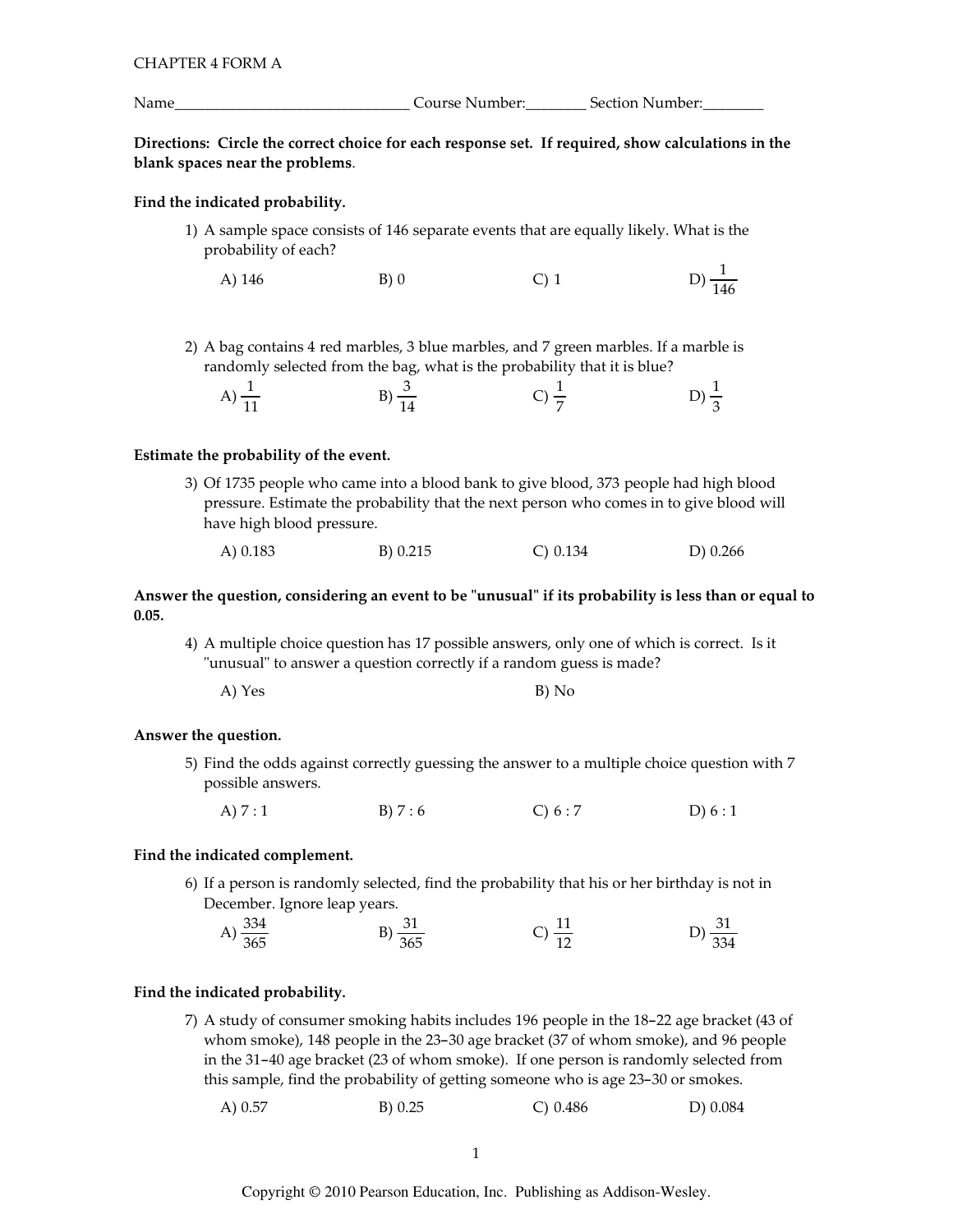Directions: Circle the correct choice for each response set. If required, show calculations in the blank spaces near the problems.

# Find the indicated probability.

1) A sample space consists of 146 separate events that are equally likely. What is the probability of each?

A) 146 B) 0 C) 1 D)  $\frac{1}{14}$ D)  $\frac{1}{146}$ 

2) A bag contains 4 red marbles, 3 blue marbles, and 7 green marbles. If a marble is randomly selected from the bag, what is the probability that it is blue?

| A)<br>$\sim$<br>11<br>TT. | D<br>$\overline{\phantom{a}}$ | $\mathbf{r}$<br>- | ◡<br>$\overline{\phantom{a}}$ |
|---------------------------|-------------------------------|-------------------|-------------------------------|
|                           |                               |                   |                               |

## Estimate the probability of the event.

3) Of 1735 people who came into a blood bank to give blood, 373 people had high blood pressure. Estimate the probability that the next person who comes in to give blood will have high blood pressure.

|  | A) 0.183 | B) 0.215 | C) 0.134 | D) 0.266 |
|--|----------|----------|----------|----------|
|--|----------|----------|----------|----------|

# Answer the question, considering an event to be "unusual" if its probability is less than or equal to  $0.05.$

4) A multiple choice question has 17 possible answers, only one of which is correct. Is it "unusual" to answer a question correctly if a random guess is made?

| A) Yes | B) No |
|--------|-------|
|        |       |

## Answer the question.

- 5) Find the odds against correctly guessing the answer to a multiple choice question with 7 possible answers.
	- A)  $7:1$  B)  $7:6$  C)  $6:7$  D)  $6:1$

## Find the indicated complement.

6) If a person is randomly selected, find the probability that his or her birthday is not in December. Ignore leap years.

| 334<br>A<br>$\frac{1}{365}$ | $\frac{1}{365}$ | $\sim$ | 334 |
|-----------------------------|-----------------|--------|-----|
|                             |                 |        |     |

#### Find the indicated probability.

<mark>e indicated probability.</mark><br>7) A study of consumer smoking habits includes 196 people in the 18-22 age bracket (43 of **ndicated probability.**<br>A study of consumer smoking habits includes 196 people in the 18–22 age bracket (43 o<br>whom smoke), 148 people in the 23–30 age bracket (37 of whom smoke), and 96 people A study of consumer smoking habits includes 196 people in the 18–22 age bracket (43 of whom smoke), 148 people in the 23–30 age bracket (37 of whom smoke), and 96 people in the 31–40 age bracket (23 of whom smoke). If one whom smoke), 148 people in the 23–30 age bracket (37 of whom smoke), and 96 in the 31–40 age bracket (23 of whom smoke). If one person is randomly selected this sample, find the probability of getting someone who is age 23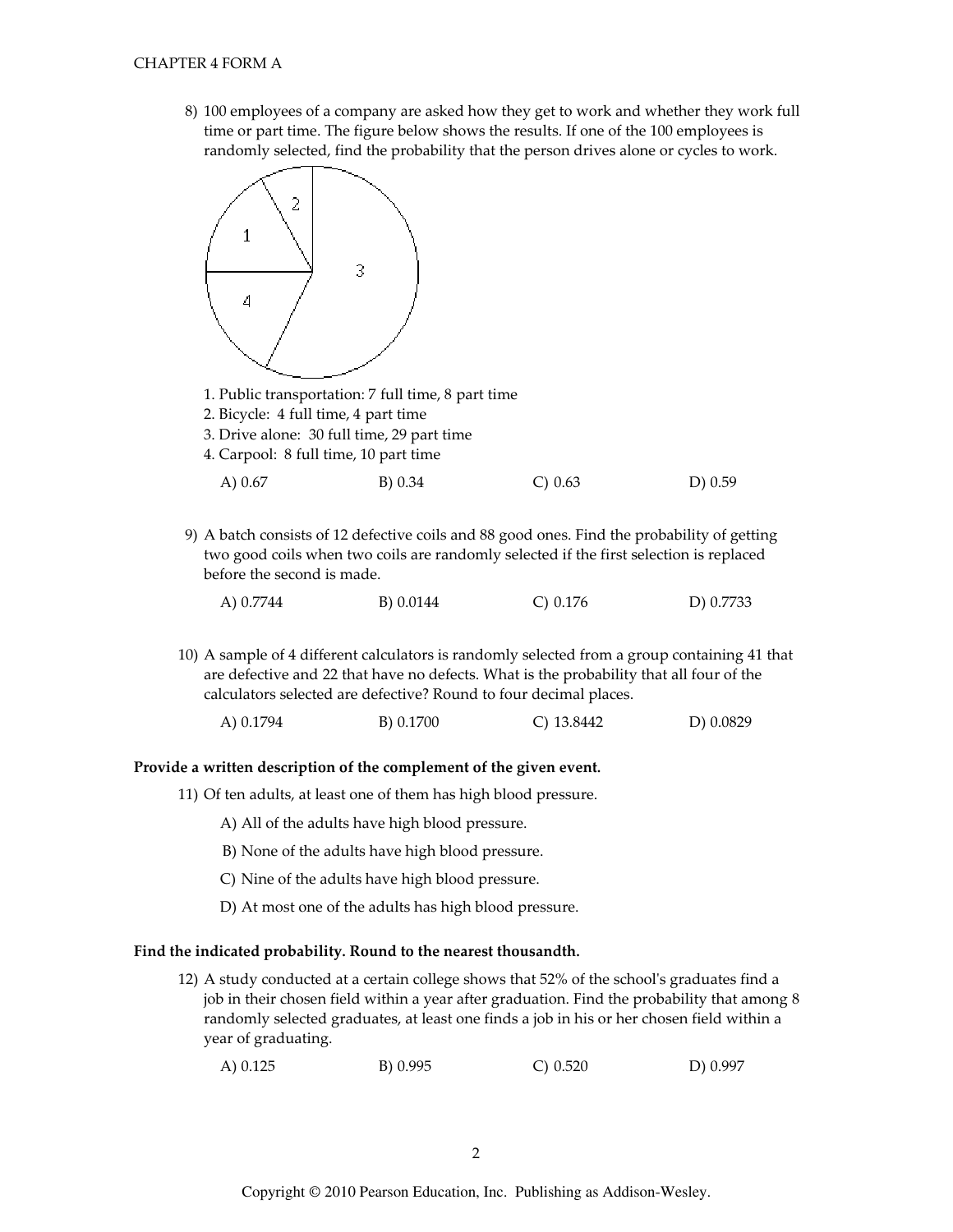8) 100 employees of a company are asked how they get to work and whether they work full time or part time. The figure below shows the results. If one of the 100 employees is randomly selected, find the probability that the person drives alone or cycles to work.



- 1. Public transportation: 7 full time, 8 part time
- 2. Bicycle: 4 full time, 4 part time
- 3. Drive alone: 30 full time, 29 part time
- 4. Carpool: 8 full time, 10 part time

9) A batch consists of 12 defective coils and 88 good ones. Find the probability of getting two good coils when two coils are randomly selected if the first selection is replaced before the second is made.

| C) $0.176$<br>A) 0.7744<br>B) 0.0144 | D) 0.7733 |
|--------------------------------------|-----------|
|--------------------------------------|-----------|

10) A sample of 4 different calculators is randomly selected from a group containing 41 that are defective and 22 that have no defects. What is the probability that all four of the calculators selected are defective? Round to four decimal places.

A) 0.1794 B) 0.1700  $C)$  13.8442 D) 0.0829

#### Provide a written description of the complement of the given event.

- 11) Of ten adults, at least one of them has high blood pressure.
	- A) All of the adults have high blood pressure.
	- B) None of the adults have high blood pressure.
	- C) Nine of the adults have high blood pressure.
	- D) At most one of the adults has high blood pressure.

#### Find the indicated probability. Round to the nearest thousandth.

12) A study conducted at a certain college shows that 52% of the school's graduates find a job in their chosen field within a year after graduation. Find the probability that among 8 randomly selected graduates, at least one finds a job in his or her chosen field within a year of graduating.

| A) 0.125 | B) 0.995 | $C$ ) 0.520 | D) 0.997 |
|----------|----------|-------------|----------|
|----------|----------|-------------|----------|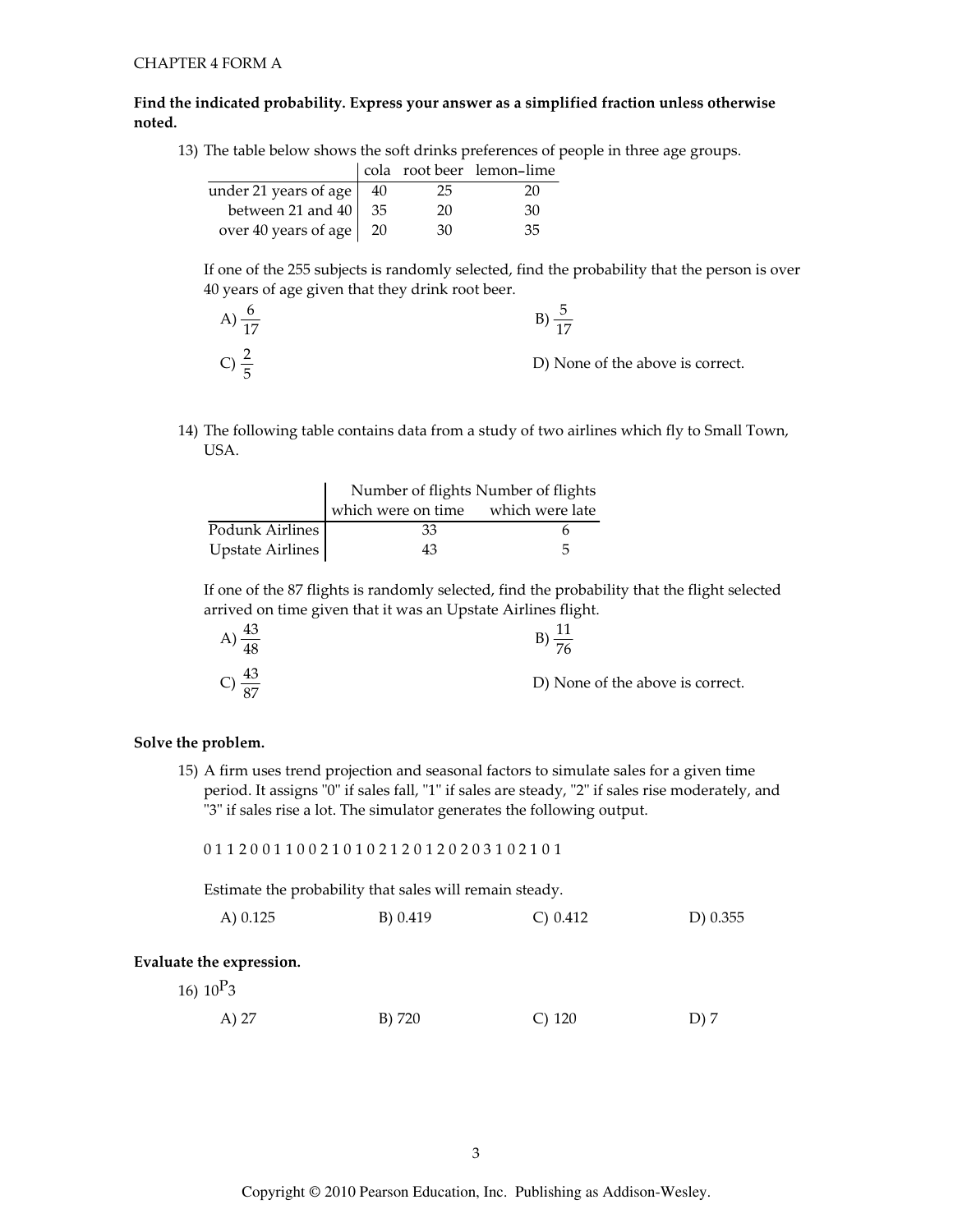# Find the indicated probability. Express your answer as a simplified fraction unless otherwise noted.

13) The table below shows the soft drinks preferences of people in three age groups.

|                                  |    | cola root beer lemon-lime |
|----------------------------------|----|---------------------------|
| under 21 years of age $\vert$ 40 | 25 | 20                        |
| between 21 and $40 \mid 35$      | 20 | 30                        |
| over 40 years of age   20        | 30 | 35                        |

If one of the 255 subjects is randomly selected, find the probability that the person is over 40 years of age given that they drink root beer.

| A) $\frac{6}{17}$ |                                  |
|-------------------|----------------------------------|
| $C \cong$         | D) None of the above is correct. |

14) The following table contains data from a study of two airlines which fly to Small Town, USA.

|                  | Number of flights Number of flights |   |
|------------------|-------------------------------------|---|
|                  | which were on time which were late  |   |
| Podunk Airlines  | 33                                  |   |
| Upstate Airlines | 43                                  | Б |

If one of the 87 flights is randomly selected, find the probability that the flight selected arrived on time given that it was an Upstate Airlines flight.

| 48                     | ⊣                                |
|------------------------|----------------------------------|
| -43<br>$\overline{Q7}$ | D) None of the above is correct. |

#### Solve the problem.

15) A firm uses trend projection and seasonal factors to simulate sales for a given time period. It assigns "0" if sales fall, "1" if sales are steady, "2" if sales rise moderately, and "3" if sales rise a lot. The simulator generates the following output.

0112001100210102120120203102101

Estimate the probability that sales will remain steady.

| C) 0.412<br>A) 0.125<br>B) 0.419 | D) 0.355 |
|----------------------------------|----------|
|----------------------------------|----------|

# Evaluate the expression.

16)  $10^P3$ 

| A) 27 | B) 720 | $C)$ 120 | D) 7 |
|-------|--------|----------|------|
|       |        |          |      |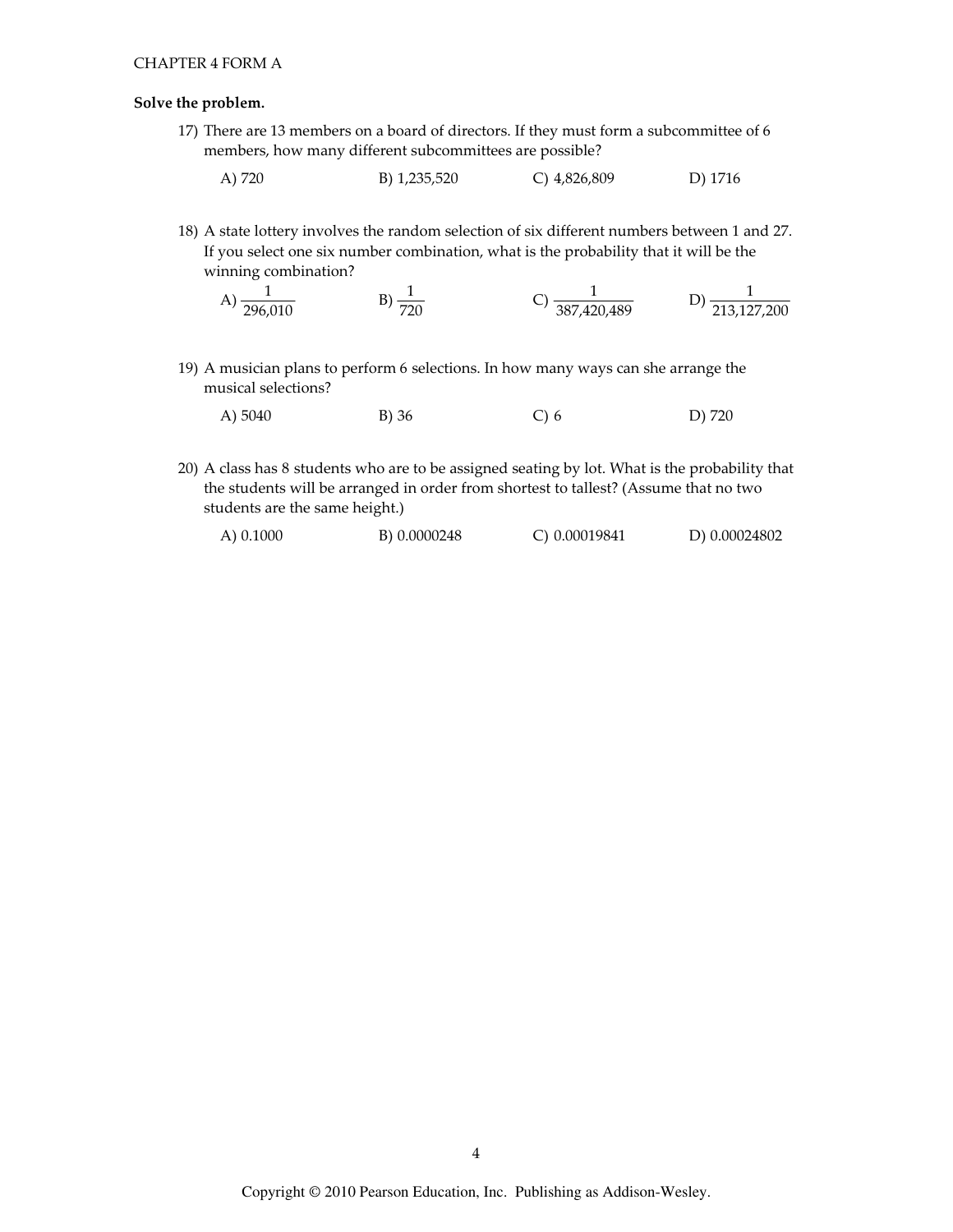## Solve the problem.

- 17) There are 13 members on a board of directors. If they must form a subcommittee of 6 members, how many different subcommittees are possible?
	- A) 720 B) 1,235,520 C) 4,826,809 D) 1716
- 18) A state lottery involves the random selection of six different numbers between 1 and 27. If you select one six number combination, what is the probability that it will be the winning combination?

A) 
$$
\frac{1}{296,010}
$$
 \t B)  $\frac{1}{720}$  \t C)  $\frac{1}{387,420,489}$  \t D)  $\frac{1}{213,127,200}$ 

- 19) A musician plans to perform 6 selections. In how many ways can she arrange the musical selections?
	- A) 5040 B) 36  $C$ ) 6 D) 720
- 20) A class has 8 students who are to be assigned seating by lot. What is the probability that the students will be arranged in order from shortest to tallest? (Assume that no two students are the same height.)

| $(A)$ 0.1000 | B) 0.0000248 | C) 0.00019841 | D) 0.00024802 |
|--------------|--------------|---------------|---------------|
|              |              |               |               |